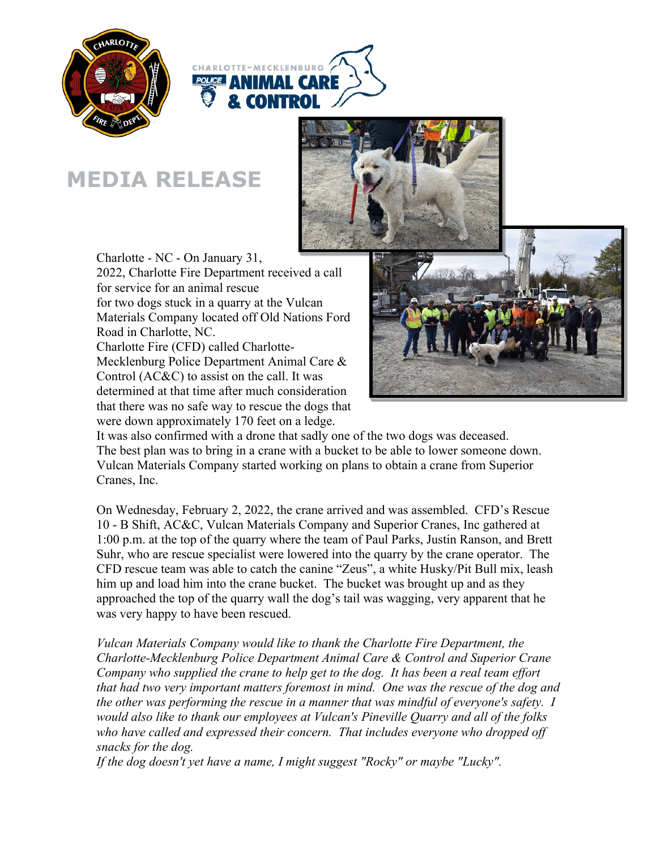



## **MEDIA RELEASE**



Charlotte - NC - On January 31, 2022, Charlotte Fire Department received a call for service for an animal rescue for two dogs stuck in a quarry at the Vulcan Materials Company located off Old Nations Ford Road in Charlotte, NC. Charlotte Fire (CFD) called Charlotte-Mecklenburg Police Department Animal Care & Control (AC&C) to assist on the call. It was determined at that time after much consideration that there was no safe way to rescue the dogs that were down approximately 170 feet on a ledge.



It was also confirmed with a drone that sadly one of the two dogs was deceased. The best plan was to bring in a crane with a bucket to be able to lower someone down. Vulcan Materials Company started working on plans to obtain a crane from Superior Cranes, Inc.

On Wednesday, February 2, 2022, the crane arrived and was assembled. CFD's Rescue 10 - B Shift, AC&C, Vulcan Materials Company and Superior Cranes, Inc gathered at 1:00 p.m. at the top of the quarry where the team of Paul Parks, Justin Ranson, and Brett Suhr, who are rescue specialist were lowered into the quarry by the crane operator. The CFD rescue team was able to catch the canine "Zeus", a white Husky/Pit Bull mix, leash him up and load him into the crane bucket. The bucket was brought up and as they approached the top of the quarry wall the dog's tail was wagging, very apparent that he was very happy to have been rescued.

*Vulcan Materials Company would like to thank the Charlotte Fire Department, the Charlotte-Mecklenburg Police Department Animal Care & Control and Superior Crane Company who supplied the crane to help get to the dog. It has been a real team effort that had two very important matters foremost in mind. One was the rescue of the dog and the other was performing the rescue in a manner that was mindful of everyone's safety. I would also like to thank our employees at Vulcan's Pineville Quarry and all of the folks*  who have called and expressed their concern. That includes everyone who dropped off *snacks for the dog.* 

*If the dog doesn't yet have a name, I might suggest "Rocky" or maybe "Lucky".*